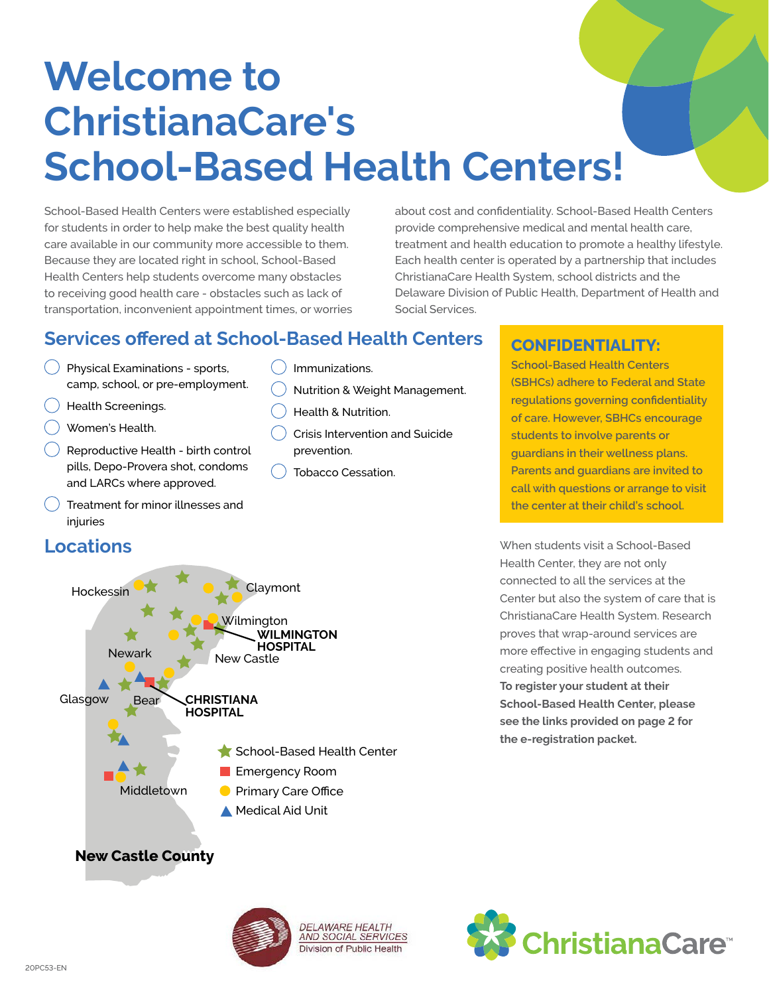# **Welcome to ChristianaCare's School-Based Health Centers!**

 $\left( \quad \right)$  Immunizations.

prevention.

Health & Nutrition.

Tobacco Cessation.

Nutrition & Weight Management.

Crisis Intervention and Suicide

School-Based Health Centers were established especially for students in order to help make the best quality health care available in our community more accessible to them. Because they are located right in school, School-Based Health Centers help students overcome many obstacles to receiving good health care - obstacles such as lack of transportation, inconvenient appointment times, or worries about cost and confidentiality. School-Based Health Centers provide comprehensive medical and mental health care, treatment and health education to promote a healthy lifestyle. Each health center is operated by a partnership that includes ChristianaCare Health System, school districts and the Delaware Division of Public Health, Department of Health and Social Services.

## **Services offered at School-Based Health Centers | CONFIDENTIALITY:**

- $( )$  Physical Examinations sports, camp, school, or pre-employment.
- Health Screenings.
- Women's Health.
- Reproductive Health birth control pills, Depo-Provera shot, condoms and LARCs where approved.
- Treatment for minor illnesses and injuries
- **Locations**



**School-Based Health Centers (SBHCs) adhere to Federal and State regulations governing confidentiality of care. However, SBHCs encourage students to involve parents or guardians in their wellness plans. Parents and guardians are invited to call with questions or arrange to visit the center at their child's school.**

creating positive health outcomes. see the links provided on page 2 for ChristianaCare Health System. Research When students visit a School-Based Health Center, they are not only connected to all the services at the Center but also the system of care that is proves that wrap-around services are more effective in engaging students and **To register your student at their School-Based Health Center, please the e-registration packet.**